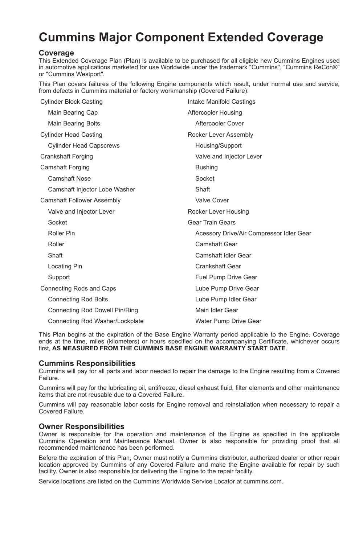# **Cummins Major Component Extended Coverage**

## **Coverage**

This Extended Coverage Plan (Plan) is available to be purchased for all eligible new Cummins Engines used in automotive applications marketed for use Worldwide under the trademark "Cummins", "Cummins ReCon®" or "Cummins Westport".

This Plan covers failures of the following Engine components which result, under normal use and service, from defects in Cummins material or factory workmanship (Covered Failure):

| Cylinder Block Casting            | Intake Manifold Castings                 |  |
|-----------------------------------|------------------------------------------|--|
| Main Bearing Cap                  | Aftercooler Housing                      |  |
| <b>Main Bearing Bolts</b>         | Aftercooler Cover                        |  |
| Cylinder Head Casting             | Rocker Lever Assembly                    |  |
| <b>Cylinder Head Capscrews</b>    | Housing/Support                          |  |
| Crankshaft Forging                | Valve and Injector Lever                 |  |
| Camshaft Forging                  | <b>Bushing</b>                           |  |
| <b>Camshaft Nose</b>              | Socket                                   |  |
| Camshaft Injector Lobe Washer     | Shaft                                    |  |
| <b>Camshaft Follower Assembly</b> | Valve Cover                              |  |
| Valve and Injector Lever          | Rocker Lever Housing                     |  |
| Socket                            | <b>Gear Train Gears</b>                  |  |
| Roller Pin                        | Acessory Drive/Air Compressor Idler Gear |  |
| Roller                            | <b>Camshaft Gear</b>                     |  |
| Shaft                             | Camshaft Idler Gear                      |  |
| Locating Pin                      | <b>Crankshaft Gear</b>                   |  |
| Support                           | Fuel Pump Drive Gear                     |  |
| Connecting Rods and Caps          | Lube Pump Drive Gear                     |  |
| <b>Connecting Rod Bolts</b>       | Lube Pump Idler Gear                     |  |
| Connecting Rod Dowell Pin/Ring    | Main Idler Gear                          |  |
| Connecting Rod Washer/Lockplate   | Water Pump Drive Gear                    |  |

This Plan begins at the expiration of the Base Engine Warranty period applicable to the Engine. Coverage ends at the time, miles (kilometers) or hours specified on the accompanying Certificate, whichever occurs first, **AS MEASURED FROM THE CUMMINS BASE ENGINE WARRANTY START DATE**.

## **Cummins Responsibilities**

Cummins will pay for all parts and labor needed to repair the damage to the Engine resulting from a Covered Failure.

Cummins will pay for the lubricating oil, antifreeze, diesel exhaust fluid, filter elements and other maintenance items that are not reusable due to a Covered Failure.

Cummins will pay reasonable labor costs for Engine removal and reinstallation when necessary to repair a Covered Failure.

## **Owner Responsibilities**

Owner is responsible for the operation and maintenance of the Engine as specified in the applicable Cummins Operation and Maintenance Manual. Owner is also responsible for providing proof that all recommended maintenance has been performed.

Before the expiration of this Plan, Owner must notify a Cummins distributor, authorized dealer or other repair location approved by Cummins of any Covered Failure and make the Engine available for repair by such facility. Owner is also responsible for delivering the Engine to the repair facility.

Service locations are listed on the Cummins Worldwide Service Locator at cummins.com.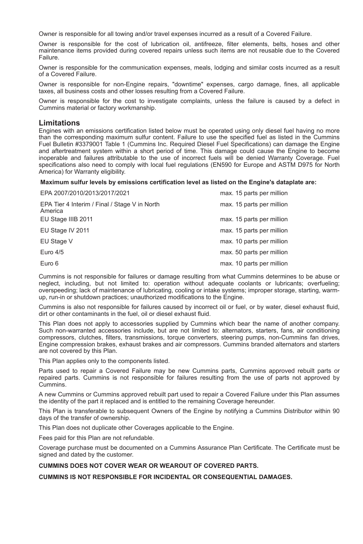Owner is responsible for all towing and/or travel expenses incurred as a result of a Covered Failure.

Owner is responsible for the cost of lubrication oil, antifreeze, filter elements, belts, hoses and other maintenance items provided during covered repairs unless such items are not reusable due to the Covered Failure.

Owner is responsible for the communication expenses, meals, lodging and similar costs incurred as a result of a Covered Failure.

Owner is responsible for non-Engine repairs, "downtime" expenses, cargo damage, fines, all applicable taxes, all business costs and other losses resulting from a Covered Failure.

Owner is responsible for the cost to investigate complaints, unless the failure is caused by a defect in Cummins material or factory workmanship.

## **Limitations**

Engines with an emissions certification listed below must be operated using only diesel fuel having no more than the corresponding maximum sulfur content. Failure to use the specified fuel as listed in the Cummins Fuel Bulletin #3379001 Table 1 (Cummins Inc. Required Diesel Fuel Specifications) can damage the Engine and aftertreatment system within a short period of time. This damage could cause the Engine to become inoperable and failures attributable to the use of incorrect fuels will be denied Warranty Coverage. Fuel specifications also need to comply with local fuel regulations (EN590 for Europe and ASTM D975 for North America) for Warranty eligibility.

#### **Maximum sulfur levels by emissions certification level as listed on the Engine's dataplate are:**

| EPA 2007/2010/2013/2017/2021                             | max. 15 parts per million |
|----------------------------------------------------------|---------------------------|
| EPA Tier 4 Interim / Final / Stage V in North<br>America | max. 15 parts per million |
| EU Stage IIIB 2011                                       | max. 15 parts per million |
| EU Stage IV 2011                                         | max. 15 parts per million |
| EU Stage V                                               | max. 10 parts per million |
| Euro $4/5$                                               | max. 50 parts per million |
| Euro 6                                                   | max. 10 parts per million |

Cummins is not responsible for failures or damage resulting from what Cummins determines to be abuse or neglect, including, but not limited to: operation without adequate coolants or lubricants; overfueling; overspeeding; lack of maintenance of lubricating, cooling or intake systems; improper storage, starting, warmup, run-in or shutdown practices; unauthorized modifications to the Engine.

Cummins is also not responsible for failures caused by incorrect oil or fuel, or by water, diesel exhaust fluid, dirt or other contaminants in the fuel, oil or diesel exhaust fluid.

This Plan does not apply to accessories supplied by Cummins which bear the name of another company. Such non-warranted accessories include, but are not limited to: alternators, starters, fans, air conditioning compressors, clutches, filters, transmissions, torque converters, steering pumps, non-Cummins fan drives, Engine compression brakes, exhaust brakes and air compressors. Cummins branded alternators and starters are not covered by this Plan.

This Plan applies only to the components listed.

Parts used to repair a Covered Failure may be new Cummins parts, Cummins approved rebuilt parts or repaired parts. Cummins is not responsible for failures resulting from the use of parts not approved by Cummins.

A new Cummins or Cummins approved rebuilt part used to repair a Covered Failure under this Plan assumes the identity of the part it replaced and is entitled to the remaining Coverage hereunder.

This Plan is transferable to subsequent Owners of the Engine by notifying a Cummins Distributor within 90 days of the transfer of ownership.

This Plan does not duplicate other Coverages applicable to the Engine.

Fees paid for this Plan are not refundable.

Coverage purchase must be documented on a Cummins Assurance Plan Certificate. The Certificate must be signed and dated by the customer.

#### **CUMMINS DOES NOT COVER WEAR OR WEAROUT OF COVERED PARTS.**

**CUMMINS IS NOT RESPONSIBLE FOR INCIDENTAL OR CONSEQUENTIAL DAMAGES.**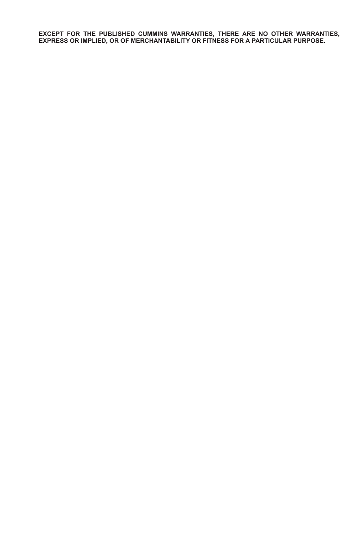**EXCEPT FOR THE PUBLISHED CUMMINS WARRANTIES, THERE ARE NO OTHER WARRANTIES, EXPRESS OR IMPLIED, OR OF MERCHANTABILITY OR FITNESS FOR A PARTICULAR PURPOSE.**